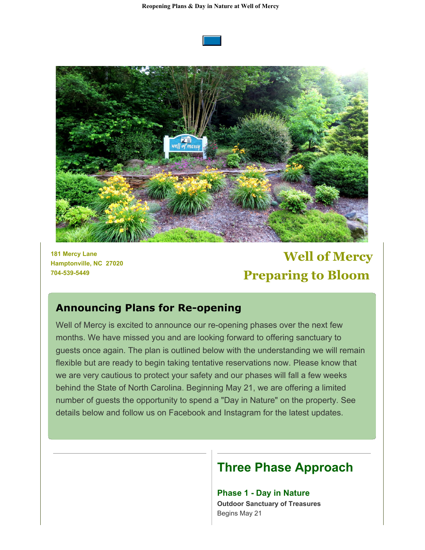**Reopening Plans & Day in Nature at Well of Mercy**





**181 Mercy Lane Hamptonville, NC 27020 704-539-5449**

# **Well of Mercy Preparing to Bloom**

### **Announcing Plans for Re-opening**

Well of Mercy is excited to announce our re-opening phases over the next few months. We have missed you and are looking forward to offering sanctuary to guests once again. The plan is outlined below with the understanding we will remain flexible but are ready to begin taking tentative reservations now. Please know that we are very cautious to protect your safety and our phases will fall a few weeks behind the State of North Carolina. Beginning May 21, we are offering a limited number of guests the opportunity to spend a "Day in Nature" on the property. See details below and follow us on Facebook and Instagram for the latest updates.

## **Three Phase Approach**

**Phase 1 - Day in Nature Outdoor Sanctuary of Treasures** Begins May 21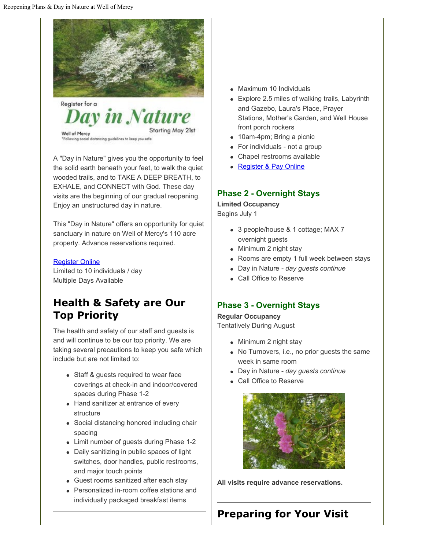

A "Day in Nature" gives you the opportunity to feel the solid earth beneath your feet, to walk the quiet wooded trails, and to TAKE A DEEP BREATH, to EXHALE, and CONNECT with God. These day visits are the beginning of our gradual reopening. Enjoy an unstructured day in nature.

This "Day in Nature" offers an opportunity for quiet sanctuary in nature on Well of Mercy's 110 acre property. Advance reservations required.

#### [Register Online](https://cts.vresp.com/c/?WellofMercy/9bd92f26b8/1100c4dba2/3f2e973289)

Limited to 10 individuals / day Multiple Days Available

## **Health & Safety are Our Top Priority**

The health and safety of our staff and guests is and will continue to be our top priority. We are taking several precautions to keep you safe which include but are not limited to:

- Staff & guests required to wear face coverings at check-in and indoor/covered spaces during Phase 1-2
- Hand sanitizer at entrance of every structure
- Social distancing honored including chair spacing
- Limit number of guests during Phase 1-2
- Daily sanitizing in public spaces of light switches, door handles, public restrooms, and major touch points
- Guest rooms sanitized after each stay
- Personalized in-room coffee stations and individually packaged breakfast items
- Maximum 10 Individuals
- Explore 2.5 miles of walking trails, Labyrinth and Gazebo, Laura's Place, Prayer Stations, Mother's Garden, and Well House front porch rockers
- 10am-4pm; Bring a picnic
- For individuals not a group
- Chapel restrooms available
- **[Register & Pay Online](https://cts.vresp.com/c/?WellofMercy/9bd92f26b8/1100c4dba2/582c99f5b5)**

#### **Phase 2 - Overnight Stays**

**Limited Occupancy** Begins July 1

- 3 people/house & 1 cottage; MAX 7 overnight guests
- Minimum 2 night stay
- Rooms are empty 1 full week between stays
- Day in Nature  *day guests continue*
- Call Office to Reserve

#### **Phase 3 - Overnight Stays**

**Regular Occupancy** Tentatively During August

- Minimum 2 night stay
- No Turnovers, i.e., no prior guests the same week in same room
- Day in Nature  *day guests continue*
- Call Office to Reserve



**All visits require advance reservations.**

## **Preparing for Your Visit**